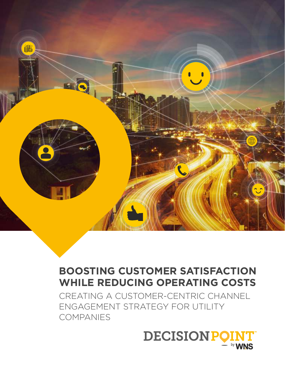

# **BOOSTING CUSTOMER SATISFACTION WHILE REDUCING OPERATING COSTS**

CREATING A CUSTOMER-CENTRIC CHANNEL ENGAGEMENT STRATEGY FOR UTILITY COMPANIES

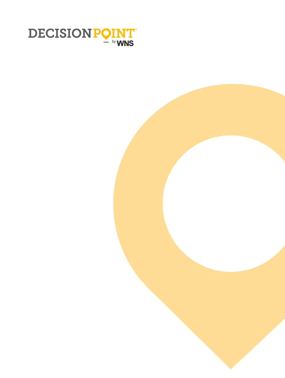

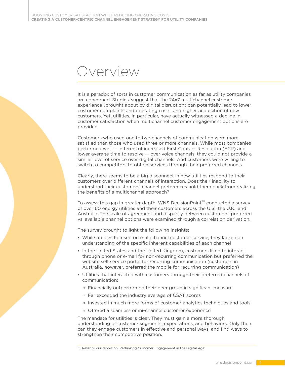# Overview

It is a paradox of sorts in customer communication as far as utility companies are concerned. Studies' suggest that the 24x7 multichannel customer experience (brought about by digital disruption) can potentially lead to lower customer complaints and operating costs, and higher acquisition of new customers. Yet, utilities, in particular, have actually witnessed a decline in customer satisfaction when multichannel customer engagement options are provided.

Customers who used one to two channels of communication were more satisfied than those who used three or more channels. While most companies performed well – in terms of increased First Contact Resolution (FCR) and lower average time to resolve - over voice channels, they could not provide a similar level of service over digital channels. And customers were willing to switch to competitors to obtain services through their preferred channels.

Clearly, there seems to be a big disconnect in how utilities respond to their customers over different channels of interaction. Does their inability to understand their customers' channel preferences hold them back from realizing the benefits of a multichannel approach?

To assess this gap in greater depth, WNS DecisionPoint™ conducted a survey of over 60 energy utilities and their customers across the U.S., the U.K., and Australia. The scale of agreement and disparity between customers' preferred vs. available channel options were examined through a correlation derivation.

The survey brought to light the following insights:

- While utilities focused on multichannel customer service, they lacked an understanding of the specific inherent capabilities of each channel
- In the United States and the United Kingdom, customers liked to interact through phone or e-mail for non-recurring communication but preferred the website self service portal for recurring communication (customers in Australia, however, preferred the mobile for recurring communication)
- Utilities that interacted with customers through their preferred channels of communication:
	- Financially outperformed their peer group in significant measure
	- Far exceeded the industry average of CSAT scores
	- Invested in much more forms of customer analytics techniques and tools
	- Offered a seamless omni-channel customer experience

The mandate for utilities is clear. They must gain a more thorough understanding of customer segments, expectations, and behaviors. Only then can they engage customers in effective and personal ways, and find ways to strengthen their competitive position.

<sup>1.</sup> Refer to our report on 'Rethinking Customer Engagement in the Digital Age'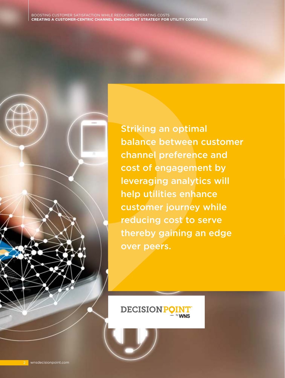Striking an optimal balance between customer channel preference and cost of engagement by leveraging analytics will help utilities enhance customer journey while reducing cost to serve thereby gaining an edge over peers.

**DECISIONPC**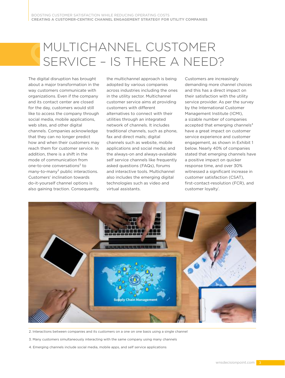# MULTICHANNEL CUSTOMER SERVICE - IS THERE A NEED?

The digital disruption has brought about a major transformation in the way customers communicate with organizations. Even if the company and its contact center are closed for the day, customers would still like to access the company through social media, mobile applications, web sites, and other digital channels. Companies acknowledge that they can no longer predict how and when their customers may reach them for customer service. In addition, there is a shift in the mode of communication from one-to-one conversations² to  $many-to-many<sup>3</sup>$  public interactions. Customers' inclination towards do-it-yourself channel options is also gaining traction. Consequently,

the multichannel approach is being adopted by various companies across industries including the ones in the utility sector. Multichannel customer service aims at providing customers with different alternatives to connect with their utilities through an integrated network of channels. It includes traditional channels, such as phone, fax and direct mails; digital channels such as website, mobile applications and social media; and the always-on and always-available self service channels like frequently asked questions (FAQs), forums and interactive tools. Multichannel also includes the emerging digital technologies such as video and virtual assistants.

Customers are increasingly demanding more channel choices and this has a direct impact on their satisfaction with the utility service provider. As per the survey by the International Customer Management Institute (ICMI), a sizable number of companies accepted that emerging channels<sup>4</sup> have a great impact on customer service experience and customer engagement, as shown in Exhibit 1 below. Nearly 40% of companies stated that emerging channels have a positive impact on quicker response time, and over 30% witnessed a significant increase in customer satisfaction (CSAT), first-contact-resolution (FCR), and customer loyalty<sup>'</sup>.



2. Interactions between companies and its customers on a one on one basis using a single channel

- 3. Many customers simultaneously interacting with the same company using many channels
- 4. Emerging channels include social media, mobile apps, and self service applications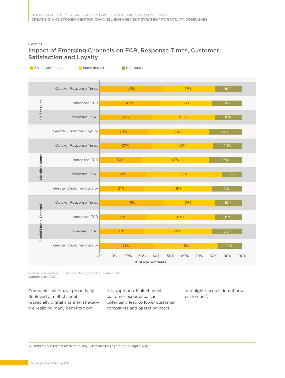#### Exhibit 1

### Impact of Emerging Channels on FCR, Response Times, Customer Satisfaction and Loyalty

| Significant Impact   | Some Impact              | No Impact         |                                              |                    |
|----------------------|--------------------------|-------------------|----------------------------------------------|--------------------|
|                      |                          |                   |                                              |                    |
|                      | Quicker Response Times   | 45%               | 36%                                          | 19%                |
|                      | <b>Increased FCR</b>     | 43%               | 36%                                          | 21%                |
| Self service         | <b>Increased CSAT</b>    | 37%               | 44%                                          | 19%                |
|                      | Greater Customer Loyalty | 34%               | 43%                                          | 23%                |
|                      | Quicker Response Times   | 37%               | 43%                                          | 20%                |
| Mobile Channel       | <b>Increased FCR</b>     | 30%               | 47%                                          | 23%                |
|                      | <b>Increased CSAT</b>    | 33%               | 53%                                          | 14%                |
|                      | Greater Customer Loyalty | 31%               | 48%                                          | 21%                |
|                      | Quicker Response Times   | 45%               | 36%                                          | 19%                |
|                      | <b>Increased FCR</b>     | 33%               | 48%                                          | 19%                |
| Social Media Channel | <b>Increased CSAT</b>    | 31%               | 48%                                          | 21%                |
|                      | Greater Customer Loyalty | 38%               | 45%                                          | 17%                |
|                      | 0%                       | 10%<br>30%<br>20% | 40%<br>50%<br>60%<br>70%<br>% of Respondents | 90%<br>80%<br>100% |

Source: International Customer Management Institute, 2013 Sample size - 361

Companies who have proactively deployed a multichannel (especially digital channel) strategy are realizing many benefits from

this approach. Multichannel customer experience can potentially lead to lower customer complaints and operating costs

and higher acquisition of new customers<sup>5</sup>.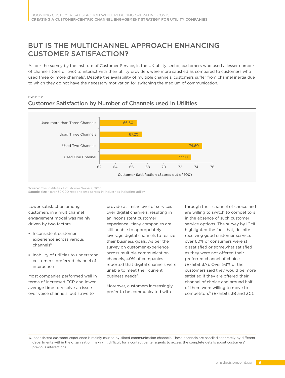# BUT IS THE MULTICHANNEL APPROACH ENHANCING CUSTOMER SATISFACTION?

As per the survey by the Institute of Customer Service, in the UK utility sector, customers who used a lesser number of channels (one or two) to interact with their utility providers were more satisfied as compared to customers who used three or more channels". Despite the availability of multiple channels, customers suffer from channel inertia due to which they do not have the necessary motivation for switching the medium of communication.

#### Exhibit 2 Customer Satisfaction by Number of Channels used in Utilities



Source: The Institute of Customer Service, 2016 Sample size - over 39,000 respondents across 14 industries including utility

Lower satisfaction among customers in a multichannel engagement model was mainly driven by two factors

- **Inconsistent customer** experience across various channels
- **Inability of utilities to understand** customer's preferred channel of interaction

Most companies performed well in terms of increased FCR and lower average time to resolve an issue over voice channels, but strive to

provide a similar level of services over digital channels, resulting in an inconsistent customer experience. Many companies are still unable to appropriately leverage digital channels to realize their business goals. As per the survey on customer experience across multiple communication channels, 40% of companies reported that digital channels were unable to meet their current business needs".

Moreover, customers increasingly prefer to be communicated with

through their channel of choice and are willing to switch to competitors in the absence of such customer service options. The survey by ICMI highlighted the fact that, despite receiving good customer service, over 60% of consumers were still dissatisfied or somewhat satisfied as they were not offered their preferred channel of choice (Exhibit 3A). Over 93% of the customers said they would be more satisfied if they are offered their channel of choice and around half of them were willing to move to competitors $\sqrt[11]{2}$  (Exhibits 3B and 3C).

6. Inconsistent customer experience is mainly caused by siloed communication channels. These channels are handled separately by different departments within the organization making it difficult for a contact center agents to access the complete details about customers' previous interactions.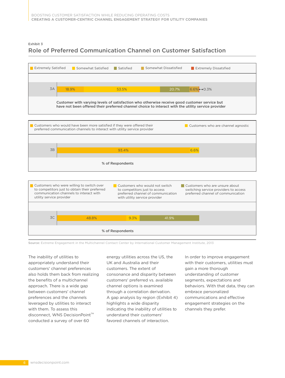#### Exhibit 3 Role of Preferred Communication Channel on Customer Satisfaction



Source: Extreme Engagement in the Multichannel Contact Center by International Customer Management Institute, 2013

The inability of utilities to appropriately understand their customers' channel preferences also holds them back from realizing the benefits of a multichannel approach. There is a wide gap between customers' channel preferences and the channels leveraged by utilities to interact with them. To assess this disconnect, WNS DecisionPoint<sup>™</sup> conducted a survey of over 60

energy utilities across the US, the UK and Australia and their customers. The extent of consonance and disparity between customers' preferred vs. available channel options is examined through a correlation derivation. A gap analysis by region (Exhibit 4) highlights a wide disparity indicating the inability of utilities to understand their customers' favored channels of interaction.

In order to improve engagement with their customers, utilities must gain a more thorough understanding of customer segments, expectations and behaviors. With that data, they can embrace personalized communications and effective engagement strategies on the channels they prefer.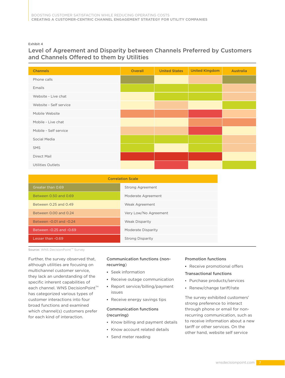Exhibit 4

### Level of Agreement and Disparity between Channels Preferred by Customers and Channels Offered to them by Utilities

| <b>Channels</b>          | Overall | <b>United States</b> | <b>United Kingdom</b> | <b>Australia</b> |
|--------------------------|---------|----------------------|-----------------------|------------------|
| Phone calls              |         |                      |                       |                  |
| Emails                   |         |                      |                       |                  |
| Website - Live chat      |         |                      |                       |                  |
| Website - Self service   |         |                      |                       |                  |
| Mobile Website           |         |                      |                       |                  |
| Mobile - Live chat       |         |                      |                       |                  |
| Mobile - Self service    |         |                      |                       |                  |
| Social Media             |         |                      |                       |                  |
| SMS                      |         |                      |                       |                  |
| Direct Mail              |         |                      |                       |                  |
| <b>Utilities Outlets</b> |         |                      |                       |                  |

| <b>Correlation Scale</b>  |                         |  |  |  |  |  |  |  |  |
|---------------------------|-------------------------|--|--|--|--|--|--|--|--|
| Greater than 0.69         | <b>Strong Agreement</b> |  |  |  |  |  |  |  |  |
| Between 0.50 and 0.69     | Moderate Agreement      |  |  |  |  |  |  |  |  |
| Between 0.25 and 0.49     | Weak Agreement          |  |  |  |  |  |  |  |  |
| Between 0.00 and 0.24     | Very Low/No Agreement   |  |  |  |  |  |  |  |  |
| Between - 0.01 and - 0.24 | <b>Weak Disparity</b>   |  |  |  |  |  |  |  |  |
| Between -0.25 and -0.69   | Moderate Disparity      |  |  |  |  |  |  |  |  |
| Lesser than -0.69         | <b>Strong Disparity</b> |  |  |  |  |  |  |  |  |

Source: WNS DecisionPoint™ Survey

Further, the survey observed that, although utilities are focusing on multichannel customer service, they lack an understanding of the specific inherent capabilities of each channel. WNS DecisionPoint<sup>™</sup> has categorized various types of customer interactions into four broad functions and examined which channel(s) customers prefer for each kind of interaction.

#### Communication functions (nonrecurring)

- Seek information
- Receive outage communication
- Report service/billing/payment issues
- Receive energy savings tips

#### Communication functions (recurring)

- Know billing and payment details
- Know account related details
- Send meter reading

#### Promotion functions

- Receive promotional offers
- Transactional functions
- Purchase products/services
- Renew/change tariff/rate

The survey exhibited customers' strong preference to interact through phone or email for nonrecurring communication, such as to receive information about a new tariff or other services. On the other hand, website self service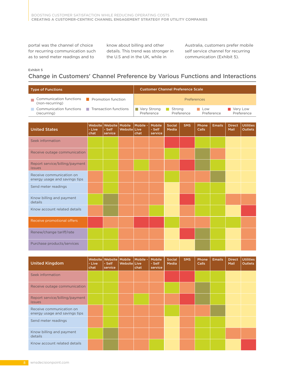portal was the channel of choice for recurring communication such as to send meter readings and to

know about billing and other details. This trend was stronger in the U.S and in the UK, while in

Australia, customers prefer mobile self service channel for recurring communication (Exhibit 5).

#### Exhibit 5

### Change in Customers' Channel Preference by Various Functions and Interactions

| <b>Type of Functions</b>                                                                                   | <b>Customer Channel Preference Scale</b> |                                     |              |                  |                                    |                 |            |                       |               |                        |                                    |  |  |  |
|------------------------------------------------------------------------------------------------------------|------------------------------------------|-------------------------------------|--------------|------------------|------------------------------------|-----------------|------------|-----------------------|---------------|------------------------|------------------------------------|--|--|--|
| Communication functions<br>(non-recurring)                                                                 | Promotion function<br>H                  |                                     |              |                  |                                    | Preferences     |            |                       |               |                        |                                    |  |  |  |
| <b>Communication functions</b><br>Transaction functions<br><b>College</b><br><b>College</b><br>(recurring) |                                          |                                     |              |                  | Very Strong<br>Preference          | Strong          | Preference | Low<br>Preference     |               | Very Low<br>Preference |                                    |  |  |  |
|                                                                                                            |                                          |                                     |              |                  |                                    |                 |            |                       |               |                        |                                    |  |  |  |
| <b>United States</b>                                                                                       | Website<br>- Live<br>chat                | Website Mobile<br>- Self<br>service | Website Live | Mobile -<br>chat | <b>Mobile</b><br>- Self<br>service | Social<br>Media | <b>SMS</b> | Phone<br><b>Calls</b> | <b>Emails</b> | <b>Direct</b><br>Mail  | <b>Utilities</b><br><b>Outlets</b> |  |  |  |
| Seek information                                                                                           |                                          |                                     |              |                  |                                    |                 |            |                       |               |                        |                                    |  |  |  |
| Receive outage communication                                                                               |                                          |                                     |              |                  |                                    |                 |            |                       |               |                        |                                    |  |  |  |
| Report service/billing/payment<br><i>issues</i>                                                            |                                          |                                     |              |                  |                                    |                 |            |                       |               |                        |                                    |  |  |  |
| Receive communication on<br>energy usage and savings tips                                                  |                                          |                                     |              |                  |                                    |                 |            |                       |               |                        |                                    |  |  |  |
| Send meter readings                                                                                        |                                          |                                     |              |                  |                                    |                 |            |                       |               |                        |                                    |  |  |  |
| Know billing and payment<br>details                                                                        |                                          |                                     |              |                  |                                    |                 |            |                       |               |                        |                                    |  |  |  |
| Know account related details                                                                               |                                          |                                     |              |                  |                                    |                 |            |                       |               |                        |                                    |  |  |  |
| Receive promotional offers                                                                                 |                                          |                                     |              |                  |                                    |                 |            |                       |               |                        |                                    |  |  |  |
| Renew/change tariff/rate                                                                                   |                                          |                                     |              |                  |                                    |                 |            |                       |               |                        |                                    |  |  |  |
| Purchase products/services                                                                                 |                                          |                                     |              |                  |                                    |                 |            |                       |               |                        |                                    |  |  |  |

| <b>United Kingdom</b>                                     | Website<br>- Live<br>chat | Website   Mobile<br>- Self<br>service | Websitel Live | Mobile -<br>chat | <b>Mobile</b><br>- Self<br>service | Social<br>Media | <b>SMS</b> | Phone<br><b>Calls</b> | <b>Emails</b> | Direct,<br><b>Mail</b> | <b>Utilities</b><br><b>Outlets</b> |
|-----------------------------------------------------------|---------------------------|---------------------------------------|---------------|------------------|------------------------------------|-----------------|------------|-----------------------|---------------|------------------------|------------------------------------|
| Seek information                                          |                           |                                       |               |                  |                                    |                 |            |                       |               |                        |                                    |
| Receive outage communication                              |                           |                                       |               |                  |                                    |                 |            |                       |               |                        |                                    |
| Report service/billing/payment<br><i>issues</i>           |                           |                                       |               |                  |                                    |                 |            |                       |               |                        |                                    |
| Receive communication on<br>energy usage and savings tips |                           |                                       |               |                  |                                    |                 |            |                       |               |                        |                                    |
| Send meter readings                                       |                           |                                       |               |                  |                                    |                 |            |                       |               |                        |                                    |
| Know billing and payment<br>details                       |                           |                                       |               |                  |                                    |                 |            |                       |               |                        |                                    |
| Know account related details                              |                           |                                       |               |                  |                                    |                 |            |                       |               |                        |                                    |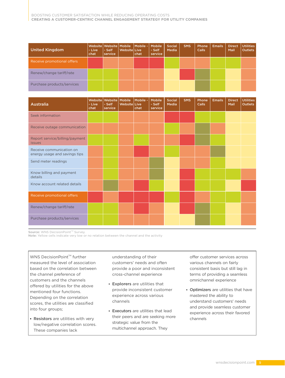| <b>United Kingdom</b>      | - Live<br>chat | - Self<br>service | Websitel Live | Website Website   Mobile   Mobile -   Mobile<br>chat | - Self<br>service | Social<br>Media | <b>SMS</b> | Phone<br>Calls | <b>Emails</b> | <b>Direct</b><br>Mail | <b>Utilities</b><br><b>Outlets</b> |
|----------------------------|----------------|-------------------|---------------|------------------------------------------------------|-------------------|-----------------|------------|----------------|---------------|-----------------------|------------------------------------|
| Receive promotional offers |                |                   |               |                                                      |                   |                 |            |                |               |                       |                                    |
| Renew/change tariff/rate   |                |                   |               |                                                      |                   |                 |            |                |               |                       |                                    |
| Purchase products/services |                |                   |               |                                                      |                   |                 |            |                |               |                       |                                    |

| <b>Australia</b>                                          | Website<br>- Live<br>chat | Website<br>- Self<br>service | Mobile<br>Website Live | Mobile -<br>chat | Mobile<br>- Self<br>service | <b>Social</b><br>Media | <b>SMS</b> | Phone<br><b>Calls</b> | <b>Emails</b> | <b>Direct</b><br>Mail | <b>Utilities</b><br><b>Outlets</b> |
|-----------------------------------------------------------|---------------------------|------------------------------|------------------------|------------------|-----------------------------|------------------------|------------|-----------------------|---------------|-----------------------|------------------------------------|
| Seek information                                          |                           |                              |                        |                  |                             |                        |            |                       |               |                       |                                    |
| Receive outage communication                              |                           |                              |                        |                  |                             |                        |            |                       |               |                       |                                    |
| Report service/billing/payment<br><b>issues</b>           |                           |                              |                        |                  |                             |                        |            |                       |               |                       |                                    |
| Receive communication on<br>energy usage and savings tips |                           |                              |                        |                  |                             |                        |            |                       |               |                       |                                    |
| Send meter readings                                       |                           |                              |                        |                  |                             |                        |            |                       |               |                       |                                    |
| Know billing and payment<br>details                       |                           |                              |                        |                  |                             |                        |            |                       |               |                       |                                    |
| Know account related details                              |                           |                              |                        |                  |                             |                        |            |                       |               |                       |                                    |
| Receive promotional offers                                |                           |                              |                        |                  |                             |                        |            |                       |               |                       |                                    |
| Renew/change tariff/rate                                  |                           |                              |                        |                  |                             |                        |            |                       |               |                       |                                    |
| Purchase products/services                                |                           |                              |                        |                  |                             |                        |            |                       |               |                       |                                    |

Source: WNS DecisionPoint™ Survey.

Note: Yellow cells indicate very low or no relation between the channel and the activity

WNS DecisionPoint<sup> $M$ </sup> further measured the level of association based on the correlation between the channel preference of customers and the channels offered by utilities for the above mentioned four functions. Depending on the correlation scores, the utilities are classified into four groups;

**Resistors** are utilities with very low/negative correlation scores. These companies lack

understanding of their customers' needs and often provide a poor and inconsistent cross-channel experience

- Explorers are utilities that provide inconsistent customer experience across various channels
- **Executors** are utilities that lead their peers and are seeking more strategic value from the multichannel approach. They

offer customer services across various channels on fairly consistent basis but still lag in terms of providing a seamless omnichannel experience

**· Optimizers** are utilities that have mastered the ability to understand customers' needs and provide seamless customer experience across their favored channels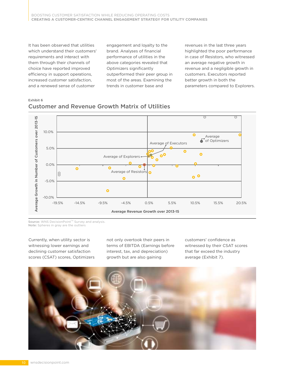It has been observed that utilities which understand their customers' requirements and interact with them through their channels of choice have reported improved efficiency in support operations, increased customer satisfaction, and a renewed sense of customer

engagement and loyalty to the brand. Analyses of financial performance of utilities in the above categories revealed that Optimizers significantly outperformed their peer group in most of the areas. Examining the trends in customer base and

revenues in the last three years highlighted the poor performance in case of Resistors, who witnessed an average negative growth in revenue and a negligible growth in customers. Executors reported better growth in both the parameters compared to Explorers.





Source: WNS DecisionPoint<sup>™</sup> Survey and analysis. Note: Spheres in gray are the outliers

Currently, when utility sector is witnessing lower earnings and declining customer satisfaction scores (CSAT) scores, Optimizers not only overtook their peers in terms of EBITDA (Earnings before interest, tax, and depreciation) growth but are also gaining

customers' confidence as witnessed by their CSAT scores that far exceed the industry average (Exhibit 7).

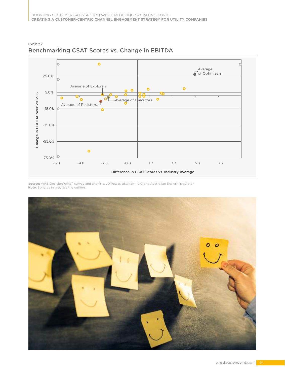

#### Exhibit 7 Benchmarking CSAT Scores vs. Change in EBITDA

Source: WNS DecisionPoint'<sup>m</sup> survey and analysis, JD Power, uSwitch - UK, and Australian Energy Regulator

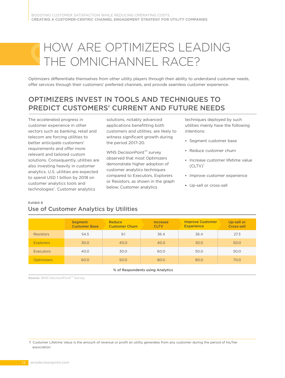# HOW ARE OPTIMIZERS LEADING THE OMNICHANNEL RACE?

Optimizers differentiate themselves from other utility players through their ability to understand customer needs, offer services through their customers' preferred channels, and provide seamless customer experience.

# OPTIMIZERS INVEST IN TOOLS AND TECHNIQUES TO PREDICT CUSTOMERS' CURRENT AND FUTURE NEEDS

The accelerated progress in customer experience in other sectors such as banking, retail and telecom are forcing utilities to better anticipate customers' requirements and offer more relevant and tailored custom solutions. Consequently, utilities are also investing heavily in customer analytics. U.S. utilities are expected to spend USD 1 billion by 2018 on customer analytics tools and technologies<sup>v</sup>. Customer analytics

solutions, notably advanced applications benefitting both customers and utilities, are likely to witness significant growth during the period 2017-20.

WNS DecisionPoint<sup>™</sup> survey observed that most Optimizers demonstrate higher adoption of customer analytics techniques compared to Executors, Explorers or Resistors, as shown in the graph below. Customer analytics

techniques deployed by such utilities mainly have the following intentions:

- Segment customer base
- Reduce customer churn
- Increase customer lifetime value  $\left($ CLTV $\right)$ <sup>7</sup>
- Improve customer experience
- Up-sell or cross-sell

#### Exhibit 8

#### Use of Customer Analytics by Utilities

| <b>Experience</b><br>Cross-sell<br><b>CLTV</b> |
|------------------------------------------------|
| 36.4<br>36.4<br>27.3                           |
| 30.0<br>50.0<br>40.0                           |
| 50.0<br>50.0<br>60.0                           |
| 80.0<br>70.0<br>80.0                           |
|                                                |

% of Respondents using Analytics

Source: WNS DecisionPoint™ Survey

7. Customer Lifetime Value is the amount of revenue or profit an utility generates from any customer during the period of his/her association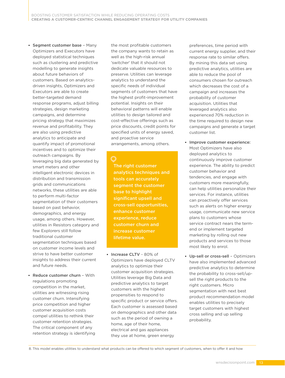- **Segment customer base Many** Optimizers and Executors have deployed statistical techniques such as clustering and predictive modelling to generate insights about future behaviors of customers. Based on analyticsdriven insights, Optimizers and Executors are able to create better-targeted demand response programs, adjust billing strategies, design marketing campaigns, and determine pricing strategy that maximizes revenue and profitability. They are also using predictive analytics to anticipate and quantify impact of promotional incentives and to optimize their outreach campaigns. By leveraging big data generated by smart meters and other intelligent electronic devices in distribution and transmission grids and communications networks, these utilities are able to perform multi-factor segmentation of their customers based on past behavior, demographics, and energy usage, among others. However, utilities in Resistors category and few Explorers still follow traditional customer segmentation techniques based on customer income levels and strive to have better customer insights to address their current and future needs.
- Reduce customer churn  $-With$ regulations promoting competition in the market, utilities are witnessing rising customer churn. Intensifying price competition and higher customer acquisition costs compel utilities to rethink their customer retention strategies. The critical component of any retention strategy is identifying

the most profitable customers the company wants to retain as well as the high-risk annual 'switcher' that it should not dedicate valuable resources to preserve. Utilities can leverage analytics to understand the specific needs of individual segments of customers that have the highest profit-improvement potential. Insights on their behavioral patterns will enable utilities to design tailored and cost-effective offerings such as price discounts, credit points for specified units of energy saved, and proactive service arrangements, among others.

The right customer analytics techniques and tools can accurately segment the customer base to highlight significant upsell and cross-sell opportunities, enhance customer experience, reduce customer churn and increase customer lifetime value.

**Increase CLTV** ~ 80% of Optimizers have deployed CLTV analytics to optimize their customer acquisition strategies. Utilities leverage Big Data and predictive analytics to target customers with the highest propensities to respond to specific product or service offers. Each customer is assessed based on demographics and other data such as the period of owning a home, age of their home, electrical and gas appliances they use at home, green energy

preferences, time period with current energy supplier, and their response rate to similar offers. By mining this data set using predictive analytics, utilities are able to reduce the pool of consumers chosen for outreach which decreases the cost of a campaign and increases the probability of customer acquisition. Utilities that leveraged analytics also experienced 70% reduction in the time required to design new campaigns and generate a target customer list.

- Improve customer experience: Most Optimizers have also deployed analytics to continuously improve customer experience. The ability to predict customer behavior and tendencies, and engage with customers more meaningfully, can help utilities personalize their services. For instance, utilities can proactively offer services such as alerts on higher energy usage, communicate new service plans to customers whose service contract nears the termend or implement targeted marketing by rolling out new products and services to those most likely to enrol.
- Up-sell or cross-sell Optimizers have also implemented advanced predictive analytics to determine the probability to cross-sell/upsell the right products to the right customers. Micro segmentation with next best product recommendation model enables utilities to precisely target customers with highest cross selling and up selling probability.

8. This model enables utilities to understand what products can be offered to which segment of customers, when to offer it and how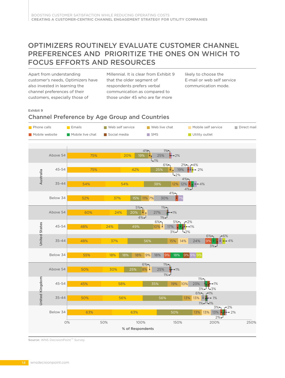# OPTIMIZERS ROUTINELY EVALUATE CUSTOMER CHANNEL PREFERENCES AND PRIORITIZE THE ONES ON WHICH TO FOCUS EFFORTS AND RESOURCES

Apart from understanding customer's needs, Optimizers have also invested in learning the channel preferences of their customers, especially those of

Millennial. It is clear from Exhibit 9 that the older segment of respondents prefers verbal communication as compared to those under 45 who are far more

likely to choose the E-mail or web self service communication mode.

#### Exhibit 9

#### Channel Preference by Age Group and Countries



Source: WNS DecisionPoint™ Survey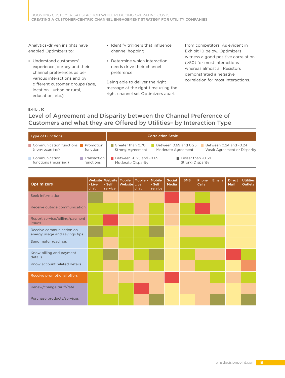Analytics-driven insights have enabled Optimizers to:

- Understand customers' experience journey and their channel preferences as per various interactions and by different customer groups (age, location - urban or rural, education, etc.)
- **IDENTIFY triggers that influence** channel hopping
- Determine which interaction needs drive their channel preference

Being able to deliver the right message at the right time using the right channel set Optimizers apart

from competitors. As evident in Exhibit 10 below, Optimizers witness a good positive correlation (>50) for most interactions whereas almost all Resistors demonstrated a negative correlation for most interactions.

#### Exhibit 10

# Level of Agreement and Disparity between the Channel Preference of Customers and what they are Offered by Utilities- by Interaction Type

| <b>Type of Functions</b>                                            | <b>Correlation Scale</b>                                                                                                                      |
|---------------------------------------------------------------------|-----------------------------------------------------------------------------------------------------------------------------------------------|
| Communication functions<br>Promotion<br>function<br>(non-recurring) | Greater than 0.70<br>Between 0.24 and -0.24<br>Between 0.69 and 0.25<br>Weak Agreement or Disparity<br>Strong Agreement<br>Moderate Agreement |
| Communication<br>Transaction<br>functions (recurring)<br>functions  | Lesser than -0.69<br>Between -0.25 and -0.69<br><b>Strong Disparity</b><br>Moderate Disparity                                                 |

| <b>Optimizers</b>                                         | Website<br>- Live<br>chat | Website Mobile<br>- Self<br>service | Website Live | Mobile -<br>chat | <b>Mobile</b><br>- Self<br>service | <b>Social</b><br><b>Media</b> | <b>SMS</b> | Phone<br><b>Calls</b> | <b>Emails</b> | <b>Direct</b><br>Mail | <b>Utilities</b><br><b>Outlets</b> |
|-----------------------------------------------------------|---------------------------|-------------------------------------|--------------|------------------|------------------------------------|-------------------------------|------------|-----------------------|---------------|-----------------------|------------------------------------|
| Seek information                                          |                           |                                     |              |                  |                                    |                               |            |                       |               |                       |                                    |
| Receive outage communication                              |                           |                                     |              |                  |                                    |                               |            |                       |               |                       |                                    |
| Report service/billing/payment<br><b>issues</b>           |                           |                                     |              |                  |                                    |                               |            |                       |               |                       |                                    |
| Receive communication on<br>energy usage and savings tips |                           |                                     |              |                  |                                    |                               |            |                       |               |                       |                                    |
| Send meter readings                                       |                           |                                     |              |                  |                                    |                               |            |                       |               |                       |                                    |
| Know billing and payment<br>details                       |                           |                                     |              |                  |                                    |                               |            |                       |               |                       |                                    |
| Know account related details                              |                           |                                     |              |                  |                                    |                               |            |                       |               |                       |                                    |
| Receive promotional offers                                |                           |                                     |              |                  |                                    |                               |            |                       |               |                       |                                    |
| Renew/change tariff/rate                                  |                           |                                     |              |                  |                                    |                               |            |                       |               |                       |                                    |
| Purchase products/services                                |                           |                                     |              |                  |                                    |                               |            |                       |               |                       |                                    |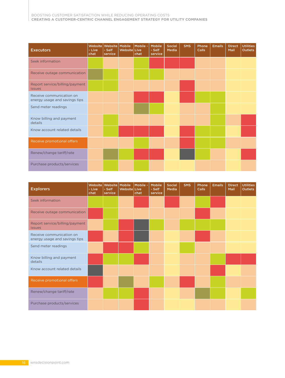| <b>Executors</b>                                          | Website<br>- Live<br>chat | Website   Mobile<br>- Self<br><b>service</b> | <b>Website Live</b> | Mobile -<br>chat | <b>Mobile</b><br>- Self<br>service | Social<br>Media | <b>SMS</b> | <b>Phone</b><br><b>Calls</b> | <b>Emails</b> | <b>Direct</b><br>Mail | <b>Utilities</b><br><b>Outlets</b> |
|-----------------------------------------------------------|---------------------------|----------------------------------------------|---------------------|------------------|------------------------------------|-----------------|------------|------------------------------|---------------|-----------------------|------------------------------------|
| Seek information                                          |                           |                                              |                     |                  |                                    |                 |            |                              |               |                       |                                    |
| Receive outage communication                              |                           |                                              |                     |                  |                                    |                 |            |                              |               |                       |                                    |
| Report service/billing/payment<br><i>issues</i>           |                           |                                              |                     |                  |                                    |                 |            |                              |               |                       |                                    |
| Receive communication on<br>energy usage and savings tips |                           |                                              |                     |                  |                                    |                 |            |                              |               |                       |                                    |
| Send meter readings                                       |                           |                                              |                     |                  |                                    |                 |            |                              |               |                       |                                    |
| Know billing and payment<br>details                       |                           |                                              |                     |                  |                                    |                 |            |                              |               |                       |                                    |
| Know account related details                              |                           |                                              |                     |                  |                                    |                 |            |                              |               |                       |                                    |
| Receive promotional offers                                |                           |                                              |                     |                  |                                    |                 |            |                              |               |                       |                                    |
| Renew/change tariff/rate                                  |                           |                                              |                     |                  |                                    |                 |            |                              |               |                       |                                    |
| Purchase products/services                                |                           |                                              |                     |                  |                                    |                 |            |                              |               |                       |                                    |

| <b>Explorers</b>                                          | Website<br>- Live<br>chat | Website Mobile<br>- Self<br>service | Website Live | Mobile -<br>chat | <b>Mobile</b><br>- Self<br>service | Social<br>Media | <b>SMS</b> | Phone<br><b>Calls</b> | Emails | <b>Direct</b><br>Mail | <b>Utilities</b><br><b>Outlets</b> |
|-----------------------------------------------------------|---------------------------|-------------------------------------|--------------|------------------|------------------------------------|-----------------|------------|-----------------------|--------|-----------------------|------------------------------------|
| Seek information                                          |                           |                                     |              |                  |                                    |                 |            |                       |        |                       |                                    |
| Receive outage communication                              |                           |                                     |              |                  |                                    |                 |            |                       |        |                       |                                    |
| Report service/billing/payment<br><b>issues</b>           |                           |                                     |              |                  |                                    |                 |            |                       |        |                       |                                    |
| Receive communication on<br>energy usage and savings tips |                           |                                     |              |                  |                                    |                 |            |                       |        |                       |                                    |
| Send meter readings                                       |                           |                                     |              |                  |                                    |                 |            |                       |        |                       |                                    |
| Know billing and payment<br>details                       |                           |                                     |              |                  |                                    |                 |            |                       |        |                       |                                    |
| Know account related details                              |                           |                                     |              |                  |                                    |                 |            |                       |        |                       |                                    |
| Receive promotional offers                                |                           |                                     |              |                  |                                    |                 |            |                       |        |                       |                                    |
| Renew/change tariff/rate                                  |                           |                                     |              |                  |                                    |                 |            |                       |        |                       |                                    |
| Purchase products/services                                |                           |                                     |              |                  |                                    |                 |            |                       |        |                       |                                    |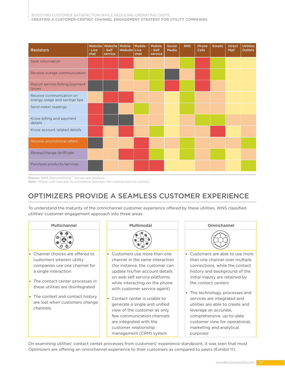| <b>Resistors</b>                                          | Website<br>- Live<br>chat | Website Mobile<br>- Self<br>service | Website Live | Mobile -<br>chat | <b>Mobile</b><br>- Self<br>service | <b>Social</b><br><b>Media</b> | <b>SMS</b> | Phone<br><b>Calls</b> | <b>Emails</b> | <b>Direct</b><br>Mail | <b>Utilities</b><br><b>Outlets</b> |
|-----------------------------------------------------------|---------------------------|-------------------------------------|--------------|------------------|------------------------------------|-------------------------------|------------|-----------------------|---------------|-----------------------|------------------------------------|
| Seek information                                          |                           |                                     |              |                  |                                    |                               |            |                       |               |                       |                                    |
| Receive outage communication                              |                           |                                     |              |                  |                                    |                               |            |                       |               |                       |                                    |
| Report service/billing/payment<br><i>issues</i>           |                           |                                     |              |                  |                                    |                               |            |                       |               |                       |                                    |
| Receive communication on<br>energy usage and savings tips |                           |                                     |              |                  |                                    |                               |            |                       |               |                       |                                    |
| Send meter readings                                       |                           |                                     |              |                  |                                    |                               |            |                       |               |                       |                                    |
| Know billing and payment<br>details                       |                           |                                     |              |                  |                                    |                               |            |                       |               |                       |                                    |
| Know account related details                              |                           |                                     |              |                  |                                    |                               |            |                       |               |                       |                                    |
| Receive promotional offers                                |                           |                                     |              |                  |                                    |                               |            |                       |               |                       |                                    |
| Renew/change tariff/rate                                  |                           |                                     |              |                  |                                    |                               |            |                       |               |                       |                                    |
| Purchase products/services                                |                           |                                     |              |                  |                                    |                               |            |                       |               |                       |                                    |

Source: WNS DecisionPoint™ Survey and analysis.

Note: Yellow cells indicate no correlation between the channel and the activity

# OPTIMIZERS PROVIDE A SEAMLESS CUSTOMER EXPERIENCE

To understand the maturity of the omnichannel customer experience offered by these utilities, WNS classified utilities' customer engagement approach into three areas:



On examining utilities' contact center processes from customers' experience standpoint, it was seen that most Optimizers are offering an omnichannel experience to their customers as compared to peers (Exhibit 11).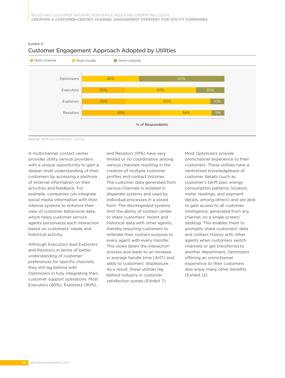

#### Exhibit 11 Customer Engagement Approach Adopted by Utilities

Source: WNS DecisionPoint™ Survey

A multichannel contact center provides utility service providers with a unique opportunity to gain a deeper-level understanding of their customers by accessing a plethora of external information on their activities and feedback. For example, companies can integrate social media information with their internal systems to enhance their view of customer behavioral data, which helps customer service agents personalize each interaction based on customers' needs and historical activity.

Although Executors lead Explorers and Resistors in terms of better understanding of customer preferences for specific channels, they still lag behind with Optimizers in fully integrating their customer support operations. Most Executors (80%), Explorers (90%),

and Resistors (91%) have very limited or no coordination among various channels resulting in the creation of multiple customer profiles and contact histories. The customer data generated from various channels is isolated in disparate systems and used by individual processes in a siloed form. The disintegrated systems limit the ability of contact center to share customers' recent and historical data with other agents, thereby requiring customers to reiterate their contact purpose to every agent with every transfer. This slows down the interaction process and leads to an increase in average handle time (AHT) and adds to customers' displeasure. As a result, these utilities lag behind industry in customer satisfaction scores (Exhibit 7).

Most Optimizers provide omnichannel experience to their customers. These utilities have a centralized knowledgebase of customer details (such as customer's tariff plan, energy consumption patterns, location, meter readings, and payment details, among others) and are able to gain access to all customer intelligence, generated from any channel, on a single screen/ desktop. This enables them to promptly share customers' data and contact history with other agents when customers switch channels or get transferred to another department. Optimizers offering an omnichannel experience to their customers also enjoy many other benefits (Exhibit 12).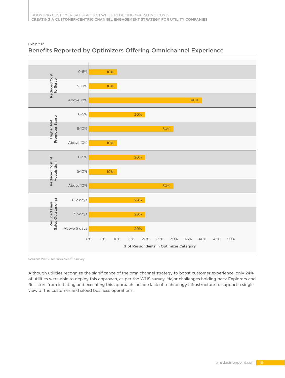

#### Exhibit 12 Benefits Reported by Optimizers Offering Omnichannel Experience

Source: WNS DecisionPoint™ Survey

Although utilities recognize the significance of the omnichannel strategy to boost customer experience, only 24% of utilities were able to deploy this approach, as per the WNS survey. Major challenges holding back Explorers and Resistors from initiating and executing this approach include lack of technology infrastructure to support a single view of the customer and siloed business operations.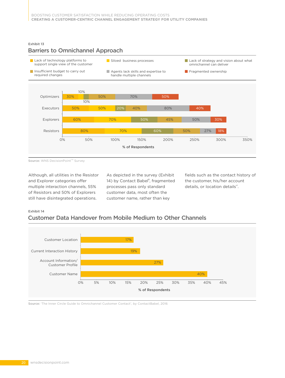#### Exhibit 13





Source: WNS DecisionPoint™ Survey

Although, all utilities in the Resistor and Explorer categories offer multiple interaction channels, 55% of Resistors and 50% of Explorers still have disintegrated operations.

As depicted in the survey (Exhibit 14) by Contact Babel<sup>8</sup>, fragmented processes pass only standard customer data, most often the customer name, rather than key

fields such as the contact history of the customer, his/her account details, or location details<sup>vi</sup>.

#### Exhibit 14

### Customer Data Handover from Mobile Medium to Other Channels



Source: 'The Inner Circle Guide to Omnichannel Customer Contact', by ContactBabel, 2016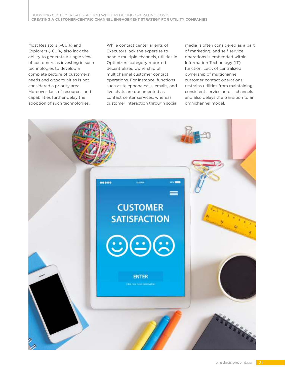BOOSTING CUSTOMER SATISFACTION WHILE REDUCING OPERATING COSTS **CREATING A CUSTOMER-CENTRIC CHANNEL ENGAGEMENT STRATEGY FOR UTILITY COMPANIES**

Most Resistors (~80%) and Explorers (~60%) also lack the ability to generate a single view of customers as investing in such technologies to develop a complete picture of customers' needs and opportunities is not considered a priority area. Moreover, lack of resources and capabilities further delay the adoption of such technologies.

While contact center agents of Executors lack the expertise to handle multiple channels, utilities in Optimizers category reported decentralized ownership of multichannel customer contact operations. For instance, functions such as telephone calls, emails, and live chats are documented as contact center services, whereas customer interaction through social

media is often considered as a part of marketing, and self service operations is embedded within Information Technology (IT) function. Lack of centralized ownership of multichannel customer contact operations restrains utilities from maintaining consistent service across channels and also delays the transition to an omnichannel model.

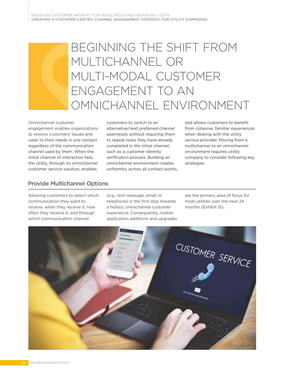# BEGINNING THE SHIFT FROM MULTICHANNEL OR MULTI-MODAL CUSTOMER ENGAGEMENT TO AN OMNICHANNEL ENVIRONMENT

Omnichannel customer engagement enables organizations to resolve customers' issues and cater to their needs in one contact regardless of the communication channel used by them. When the initial channel of interaction fails, the utility, through its omnichannel customer service solution, enables

customers to switch to an alternative/next preferred channel seamlessly without requiring them to repeat tasks they have already completed in the initial channel, such as a customer identity verification process. Building an omnichannel environment creates uniformity across all contact points,

and allows customers to benefit from cohesive, familiar experiences when dealing with the utility service provider. Moving from a multichannel to an omnichannel environment requires utility company to consider following key strategies.

### Provide Multichannel Options

Allowing customers to select which communication they want to receive, when they receive it, how often they receive it, and through which communication channel

(e.g., text message, email or telephone) is the first step towards a holistic omnichannel customer experience. Consequently, mobile application additions and upgrades

are the primary area of focus for most utilities over the next 24 months (Exhibit 15).

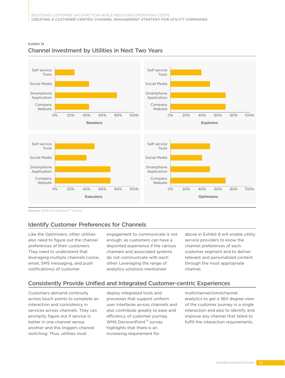

#### Exhibit 15 Channel Investment by Utilities in Next Two Years

Source: WNS Decisionoint™ Survey

# Identify Customer Preferences for Channels

Like the Optimizers, other utilities also need to figure out the channel preferences of their customers. They need to understand that leveraging multiple channels (voice, email, SMS messaging, and push notifications) of customer

engagement to communicate is not enough, as customers can have a disjointed experience if the various channels and associated systems do not communicate with each other. Leveraging the range of analytics solutions mentioned

above in Exhibit 8 will enable utility service providers to know the channel preferences of each customer segment and to deliver relevant and personalized content through the most appropriate channel.

#### Consistently Provide Unified and Integrated Customer-centric Experiences

Customers demand continuity across touch points to complete an interaction and consistency in services across channels. They can promptly figure out if service is better in one channel versus another and this triggers channel switching. Thus, utilities must

deploy integrated tools and processes that support uniform user interfaces across channels and also contribute greatly to ease and efficiency of customer journey. WNS DecisionPoint<sup>™</sup> survey highlights that there is an increasing requirement for

multichannel/omnichannel analytics to get a 360 degree view of the customer journey in a single interaction and also to identify and improve any channel that failed to fulfill the interaction requirements.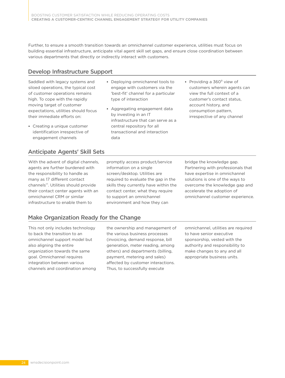Further, to ensure a smooth transition towards an omnichannel customer experience, utilities must focus on building essential infrastructure, anticipate vital agent skill set gaps, and ensure close coordination between various departments that directly or indirectly interact with customers.

### Develop Infrastructure Support

Saddled with legacy systems and siloed operations, the typical cost of customer operations remains high. To cope with the rapidly moving target of customer expectations, utilities should focus their immediate efforts on:

- Creating a unique customer identification irrespective of engagement channels
- Deploying omnichannel tools to engage with customers via the 'best-fit' channel for a particular type of interaction
- Aggregating engagement data by investing in an IT infrastructure that can serve as a central repository for all transactional and interaction data
- Providing a  $360^\circ$  view of customers wherein agents can view the full context of a customer's contact status, account history, and consumption pattern, irrespective of any channel

### Anticipate Agents' Skill Sets

With the advent of digital channels, agents are further burdened with the responsibility to handle as many as 17 different contact channels<sup>vii</sup>. Utilities should provide their contact center agents with an omnichannel CRM or similar infrastructure to enable them to

promptly access product/service information on a single screen/desktop. Utilities are required to evaluate the gap in the skills they currently have within the contact center, what they require to support an omnichannel environment and how they can

bridge the knowledge gap. Partnering with professionals that have expertise in omnichannel solutions is one of the ways to overcome the knowledge gap and accelerate the adoption of omnichannel customer experience.

### Make Organization Ready for the Change

This not only includes technology to back the transition to an omnichannel support model but also aligning the entire organization towards the same goal. Omnichannel requires integration between various channels and coordination among

the ownership and management of the various business processes (invoicing, demand response, bill generation, meter reading, among others) and departments (billing, payment, metering and sales) affected by customer interactions. Thus, to successfully execute

omnichannel, utilities are required to have senior executive sponsorship, vested with the authority and responsibility to make changes to any and all appropriate business units.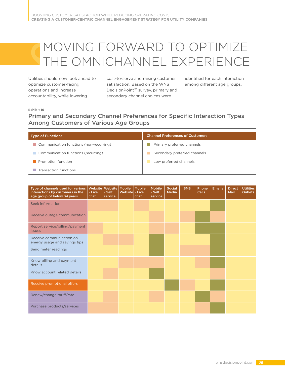# MOVING FORWARD TO OPTIMIZE THE OMNICHANNEL EXPERIENCE

Utilities should now look ahead to optimize customer-facing operations and increase accountability, while lowering

cost-to-serve and raising customer satisfaction. Based on the WNS DecisionPoint<sup>™</sup> survey, primary and secondary channel choices were

identified for each interaction among different age groups.

#### Exhibit 16

### Primary and Secondary Channel Preferences for Specific Interaction Types Among Customers of Various Age Groups

| <b>Type of Functions</b>                | <b>Channel Preferences of Customers</b> |
|-----------------------------------------|-----------------------------------------|
| Communication functions (non-recurring) | Primary preferred channels              |
| Communication functions (recurring)     | Secondary preferred channels            |
| Promotion function                      | Low preferred channels                  |
| Transaction functions                   |                                         |

| Type of channels used for various<br>interactions by customers in the<br>age group of below 34 years | Website<br>- Live<br>chat | Website Mobile<br>- Self<br>service | Website - Live | Mobile<br>chat | <b>Mobile</b><br>- Self<br>service | <b>Social</b><br>Media | <b>SMS</b> | Phone<br>Calls | <b>Emails</b> | <b>Direct</b><br>Mail | <b>Utilities</b><br><b>Outlets</b> |
|------------------------------------------------------------------------------------------------------|---------------------------|-------------------------------------|----------------|----------------|------------------------------------|------------------------|------------|----------------|---------------|-----------------------|------------------------------------|
| Seek information                                                                                     |                           |                                     |                |                |                                    |                        |            |                |               |                       |                                    |
| Receive outage communication                                                                         |                           |                                     |                |                |                                    |                        |            |                |               |                       |                                    |
| Report service/billing/payment<br><i>issues</i>                                                      |                           |                                     |                |                |                                    |                        |            |                |               |                       |                                    |
| Receive communication on<br>energy usage and savings tips                                            |                           |                                     |                |                |                                    |                        |            |                |               |                       |                                    |
| Send meter readings                                                                                  |                           |                                     |                |                |                                    |                        |            |                |               |                       |                                    |
| Know billing and payment<br>details                                                                  |                           |                                     |                |                |                                    |                        |            |                |               |                       |                                    |
| Know account related details                                                                         |                           |                                     |                |                |                                    |                        |            |                |               |                       |                                    |
| Receive promotional offers                                                                           |                           |                                     |                |                |                                    |                        |            |                |               |                       |                                    |
| Renew/change tariff/rate                                                                             |                           |                                     |                |                |                                    |                        |            |                |               |                       |                                    |
| Purchase products/services                                                                           |                           |                                     |                |                |                                    |                        |            |                |               |                       |                                    |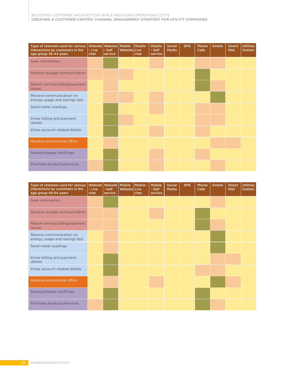| Type of channels used for various<br>interactions by customers in the<br>age group 35-44 years | Website<br>- Live<br>chat | Website Mobile<br>- Self<br>service | Website Live | Mobile -<br>chat | <b>Mobile</b><br>- Self<br>service | Social<br>Media | <b>SMS</b> | Phone<br><b>Calls</b> | <b>Emails</b> | <b>Direct</b><br>Mail | <b>Utilities</b><br><b>Outlets</b> |
|------------------------------------------------------------------------------------------------|---------------------------|-------------------------------------|--------------|------------------|------------------------------------|-----------------|------------|-----------------------|---------------|-----------------------|------------------------------------|
| Seek information                                                                               |                           |                                     |              |                  |                                    |                 |            |                       |               |                       |                                    |
| Receive outage communication                                                                   |                           |                                     |              |                  |                                    |                 |            |                       |               |                       |                                    |
| Report service/billing/payment<br><b>issues</b>                                                |                           |                                     |              |                  |                                    |                 |            |                       |               |                       |                                    |
| Receive communication on<br>energy usage and savings tips                                      |                           |                                     |              |                  |                                    |                 |            |                       |               |                       |                                    |
| Send meter readings                                                                            |                           |                                     |              |                  |                                    |                 |            |                       |               |                       |                                    |
| Know billing and payment<br>details                                                            |                           |                                     |              |                  |                                    |                 |            |                       |               |                       |                                    |
| Know account related details                                                                   |                           |                                     |              |                  |                                    |                 |            |                       |               |                       |                                    |
| Receive promotional offers                                                                     |                           |                                     |              |                  |                                    |                 |            |                       |               |                       |                                    |
| Renew/change tariff/rate                                                                       |                           |                                     |              |                  |                                    |                 |            |                       |               |                       |                                    |
| Purchase products/services                                                                     |                           |                                     |              |                  |                                    |                 |            |                       |               |                       |                                    |

| Type of channels used for various<br>interactions by customers in the<br>age group 45-54 years | Website<br>- Live<br>chat | Website Mobile<br>- Self<br>service | Website Live | Mobile -<br>chat | <b>Mobile</b><br>- Self<br>service | Social<br>Media | <b>SMS</b> | Phone<br>Calls | <b>Emails</b> | <b>Direct</b><br>Mail | <b>Utilities</b><br><b>Outlets</b> |
|------------------------------------------------------------------------------------------------|---------------------------|-------------------------------------|--------------|------------------|------------------------------------|-----------------|------------|----------------|---------------|-----------------------|------------------------------------|
| Seek information                                                                               |                           |                                     |              |                  |                                    |                 |            |                |               |                       |                                    |
| Receive outage communication                                                                   |                           |                                     |              |                  |                                    |                 |            |                |               |                       |                                    |
| Report service/billing/payment<br><i>issues</i>                                                |                           |                                     |              |                  |                                    |                 |            |                |               |                       |                                    |
| Receive communication on<br>energy usage and savings tips                                      |                           |                                     |              |                  |                                    |                 |            |                |               |                       |                                    |
| Send meter readings                                                                            |                           |                                     |              |                  |                                    |                 |            |                |               |                       |                                    |
| Know billing and payment<br>details                                                            |                           |                                     |              |                  |                                    |                 |            |                |               |                       |                                    |
| Know account related details                                                                   |                           |                                     |              |                  |                                    |                 |            |                |               |                       |                                    |
| Receive promotional offers                                                                     |                           |                                     |              |                  |                                    |                 |            |                |               |                       |                                    |
| Renew/change tariff/rate                                                                       |                           |                                     |              |                  |                                    |                 |            |                |               |                       |                                    |
| Purchase products/services                                                                     |                           |                                     |              |                  |                                    |                 |            |                |               |                       |                                    |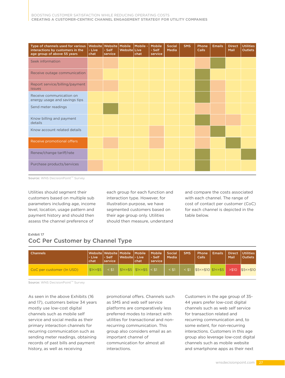| Type of channels used for various<br>interactions by customers in the<br>age group of above 55 years | Website<br>- Live<br>chat <sup>'</sup> | Website Mobile<br>- Self<br>service | Website Live | l Mobile -<br>chat | Mobile<br>- Self<br>service | Social<br>Media | <b>SMS</b> | Phone<br>Calls | <b>Emails</b> | <b>Direct</b><br>Mail | <b>Utilities</b><br><b>Outlets</b> |
|------------------------------------------------------------------------------------------------------|----------------------------------------|-------------------------------------|--------------|--------------------|-----------------------------|-----------------|------------|----------------|---------------|-----------------------|------------------------------------|
| Seek information                                                                                     |                                        |                                     |              |                    |                             |                 |            |                |               |                       |                                    |
| Receive outage communication                                                                         |                                        |                                     |              |                    |                             |                 |            |                |               |                       |                                    |
| Report service/billing/payment<br><i>issues</i>                                                      |                                        |                                     |              |                    |                             |                 |            |                |               |                       |                                    |
| Receive communication on<br>energy usage and savings tips                                            |                                        |                                     |              |                    |                             |                 |            |                |               |                       |                                    |
| Send meter readings                                                                                  |                                        |                                     |              |                    |                             |                 |            |                |               |                       |                                    |
| Know billing and payment<br>details                                                                  |                                        |                                     |              |                    |                             |                 |            |                |               |                       |                                    |
| Know account related details                                                                         |                                        |                                     |              |                    |                             |                 |            |                |               |                       |                                    |
| Receive promotional offers                                                                           |                                        |                                     |              |                    |                             |                 |            |                |               |                       |                                    |
| Renew/change tariff/rate                                                                             |                                        |                                     |              |                    |                             |                 |            |                |               |                       |                                    |
| Purchase products/services                                                                           |                                        |                                     |              |                    |                             |                 |            |                |               |                       |                                    |

Source: WNS DecisionPoint™ Survey

Utilities should segment their customers based on multiple sub parameters including age, income level, location, usage pattern and payment history and should then assess the channel preference of

each group for each function and interaction type. However, for illustration purpose, we have segmented customers based on their age group only. Utilities should then measure, understand

and compare the costs associated with each channel. The range of cost of contact per customer (CoC) for each channel is depicted in the table below.

#### Exhibit 17

### CoC Per Customer by Channel Type

| <b>Channels</b>           | l - Live<br>chat | Website Website   Mobile   Mobile<br>- Self<br>service <sup>1</sup> | Websitel - Live | chat                                 | <b>Mobile</b><br>- Self<br>service | Social<br>Media | SMS     | Phone<br>Calls         | <b>Emails</b> | Direct<br>Mail | Utilities<br><b>Outlets</b> |
|---------------------------|------------------|---------------------------------------------------------------------|-----------------|--------------------------------------|------------------------------------|-----------------|---------|------------------------|---------------|----------------|-----------------------------|
| CoC per customer (In USD) | $$1 < = $5$      |                                                                     |                 | $$1 < = $5 \mid $1 < = $5 \mid < $1$ |                                    |                 | $<$ \$1 | $55 < -510$ $51 < -55$ |               | > \$10         | $$5 < = $10$                |

Source: WNS DecisionPoint™ Survey

As seen in the above Exhibits (16 and 17), customers below 34 years mostly use low-cost digital channels such as mobile self service and social media as their primary interaction channels for recurring communication such as sending meter readings, obtaining records of past bills and payment history, as well as receiving

promotional offers. Channels such as SMS and web self service platforms are comparatively less preferred modes to interact with utilities for transactional and nonrecurring communication. This group also considers email as an important channel of communication for almost all interactions.

Customers in the age group of 35- 44 years prefer low-cost digital channels such as web self service for transaction related and recurring communication and, to some extent, for non-recurring interactions. Customers in this age group also leverage low-cost digital channels such as mobile website and smartphone apps as their next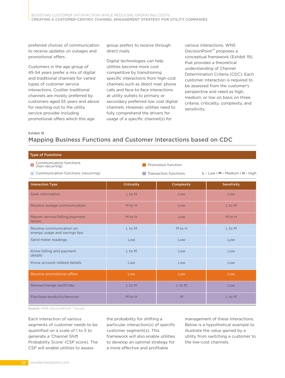preferred choices of communication to receive updates on outages and promotional offers.

Customers in the age group of 45-54 years prefer a mix of digital and traditional channels for varied types of customer service interactions. Costlier traditional channels are mostly preferred by customers aged 55 years and above for reaching out to the utility service provider including promotional offers which this age

group prefers to receive through direct mails.

Digital technologies can help utilities become more cost competitive by transitioning specific interactions from high-cost channels such as direct mail, phone calls and face-to-face interactions at utility outlets to primary or secondary preferred low cost digital channels. However, utilities need to fully comprehend the drivers for usage of a specific channel(s) for

various interactions. WNS DecisionPoint<sup>™</sup> proposes a conceptual framework (Exhibit 19), that provides a theoretical understanding of Channel Determination Criteria (CDC). Each customer interaction is required to be assessed from the customer's perspective and rated as high, medium, or low on basis on three criteria; criticality, complexity, and sensitivity.

Exhibit 18

# Mapping Business Functions and Customer Interactions based on CDC

| <b>Type of Functions</b>                                  |                    |                       |                                 |  |  |  |  |  |
|-----------------------------------------------------------|--------------------|-----------------------|---------------------------------|--|--|--|--|--|
| <b>Communication functions</b><br>(non-recurring)         |                    | Promotion function    |                                 |  |  |  |  |  |
| Communication functions (recurring)                       |                    | Transaction functions | L - Low I M - Medium I H - High |  |  |  |  |  |
| <b>Interaction Type</b>                                   | <b>Criticality</b> | Complexity            | Sensitivity                     |  |  |  |  |  |
| Seek information                                          | L to M             | Low                   | Low                             |  |  |  |  |  |
| Receive outage communication                              | M to H             | Low                   | L to M                          |  |  |  |  |  |
| Report service/billing/payment<br><i>issues</i>           | M to H             | Low                   | M to H                          |  |  |  |  |  |
| Receive communication on<br>energy usage and savings tips | L to M             | M to H                | L to M                          |  |  |  |  |  |
| Send meter readings                                       | Low                | Low                   | Low                             |  |  |  |  |  |
| Know billing and payment<br>details                       | L to M             | Low                   | Low                             |  |  |  |  |  |
| Know account related details                              | Low                | Low                   | Low                             |  |  |  |  |  |
| Receive promotional offers                                | Low                | Low                   | Low                             |  |  |  |  |  |
| Renew/change tariff/rate                                  | L to M             | L to M                | Low                             |  |  |  |  |  |
| Purchase products/services                                | M to H             | M                     | L to M                          |  |  |  |  |  |

Source: WNS DecisionPoint™ Survey

Each interaction of various segments of customer needs to be quantified on a scale of 1 to 5 to generate a 'Channel Shift Probability Score' (CSP score). The CSP will enable utilities to assess

the probability for shifting a particular interaction(s) of specific customer segment(s). This framework will also enable utilities to develop an optimal strategy for a more effective and profitable

management of these interactions. Below is a hypothetical example to illustrate the value gained by a utility from switching a customer to the low-cost channels.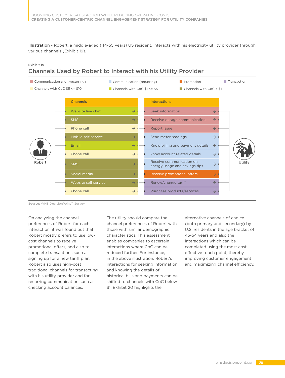Illustration - Robert, a middle-aged (44-55 years) US resident, interacts with his electricity utility provider through various channels (Exhibit 19).

#### Exhibit 19

#### Channels Used by Robert to Interact with his Utility Provider



Source: WNS DecisionPoint™ Survey

On analyzing the channel preferences of Robert for each interaction, it was found out that Robert mostly prefers to use lowcost channels to receive promotional offers, and also to complete transactions such as signing up for a new tariff plan. Robert also uses high-cost traditional channels for transacting with his utility provider and for recurring communication such as checking account balances.

The utility should compare the channel preferences of Robert with those with similar demographic characteristics. This assessment enables companies to ascertain interactions where CoC can be reduced further. For instance, in the above illustration, Robert's interactions for seeking information and knowing the details of historical bills and payments can be shifted to channels with CoC below \$1. Exhibit 20 highlights the

alternative channels of choice (both primary and secondary) by U.S. residents in the age bracket of 45-54 years and also the interactions which can be completed using the most cost effective touch point, thereby improving customer engagement and maximizing channel efficiency.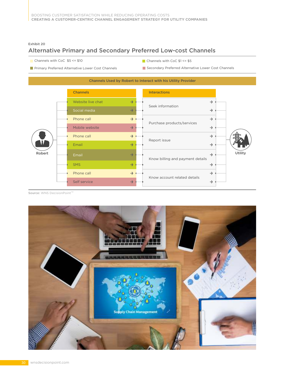Exhibit 20

# Alternative Primary and Secondary Preferred Low-cost Channels

- Channels with CoC \$5 <= \$10 Channels with CoC \$1 <= \$5
	-
- **Primary Preferred Alternative Lower Cost Channels**
- 
- 
- Secondary Preferred Alternative Lower Cost Channels



Source: WNS DecisionPoint™

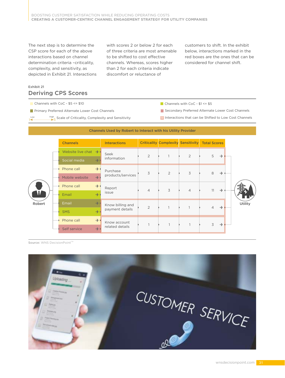The next step is to determine the CSP score for each of the above interactions based on channel determination criteria -criticality, complexity, and sensitivity, as depicted in Exhibit 21. Interactions with scores 2 or below 2 for each of three criteria are most amenable to be shifted to cost effective channels. Whereas, scores higher than 2 for each criteria indicate discomfort or reluctance of

customers to shift. In the exhibit below, interactions marked in the red boxes are the ones that can be considered for channel shift.

#### Exhibit 21 Deriving CPS Scores

Channels with CoC -  $$5 \le 10$ 

**Primary Preferred Alternate Lower Cost Channels** 

Low High Scale of Criticality, Complexity and Sensitivity

Secondary Preferred Alternate Lower Cost Channels

Interactions that can be Shifted to Low Cost Channels



Source: WNS DecisionPoint™

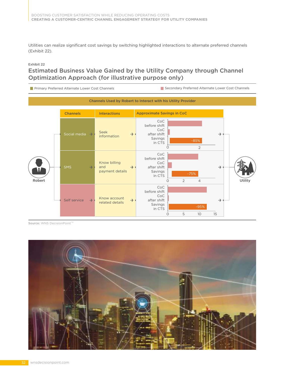Utilities can realize significant cost savings by switching highlighted interactions to alternate preferred channels (Exhibit 22).

#### Exhibit 22

## Estimated Business Value Gained by the Utility Company through Channel Optimization Approach (for illustrative purpose only)



Source: WNS DecisionPoint™

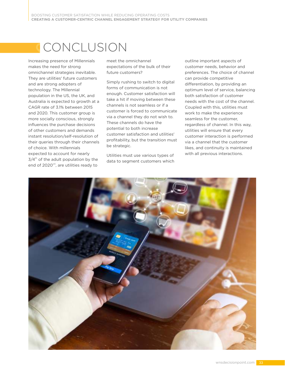# CONCLUSION

Increasing presence of Millennials makes the need for strong omnichannel strategies inevitable. They are utilities' future customers and are strong adopters of technology. The Millennial population in the US, the UK, and Australia is expected to growth at a CAGR rate of 3.1% between 2015 and 2020. This customer group is more socially conscious, strongly influences the purchase decisions of other customers and demands instant resolution/self-resolution of their queries through their channels of choice. With millennials expected to account for nearly  $3/4<sup>th</sup>$  of the adult population by the end of 2020<sup>viii</sup>, are utilities ready to

meet the omnichannel expectations of the bulk of their future customers?

Simply rushing to switch to digital forms of communication is not enough. Customer satisfaction will take a hit if moving between these channels is not seamless or if a customer is forced to communicate via a channel they do not wish to. These channels do have the potential to both increase customer satisfaction and utilities' profitability, but the transition must be strategic.

Utilities must use various types of data to segment customers which

outline important aspects of customer needs, behavior and preferences. The choice of channel can provide competitive differentiation, by providing an optimum level of service, balancing both satisfaction of customer needs with the cost of the channel. Coupled with this, utilities must work to make the experience seamless for the customer, regardless of channel. In this way, utilities will ensure that every customer interaction is performed via a channel that the customer likes, and continuity is maintained with all previous interactions.

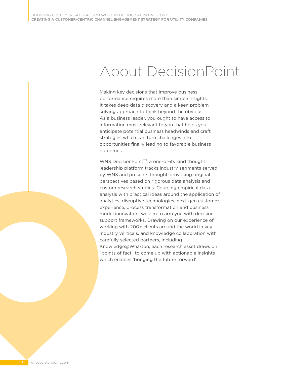# About DecisionPoint

Making key decisions that improve business performance requires more than simple insights. It takes deep data discovery and a keen problem solving approach to think beyond the obvious. As a business leader, you ought to have access to information most relevant to you that helps you anticipate potential business headwinds and craft strategies which can turn challenges into opportunities finally leading to favorable business outcomes.

WNS DecisionPoint<sup>™</sup>, a one-of-its kind thought leadership platform tracks industry segments served by WNS and presents thought-provoking original perspectives based on rigorous data analysis and custom research studies. Coupling empirical data analysis with practical ideas around the application of analytics, disruptive technologies, next-gen customer experience, process transformation and business model innovation; we aim to arm you with decision support frameworks. Drawing on our experience of working with 200+ clients around the world in key industry verticals, and knowledge collaboration with carefully selected partners, including Knowledge@Wharton, each research asset draws on "points of fact" to come up with actionable insights which enables 'bringing the future forward'.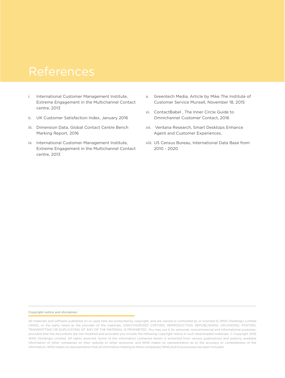# References

- i. International Customer Management Institute, Extreme Engagement in the Multichannel Contact centre, 2013
- ii. UK Customer Satisfaction Index, January 2016
- iii. Dimension Data, Global Contact Centre Bench Marking Report, 2016
- iv. International Customer Management Institute, Extreme Engagement in the Multichannel Contact centre, 2013
- v. Greentech Media, Article by Mike The Institute of Customer Service Munsell, November 18, 2015
- vi. ContactBabel , The Inner Circle Guide to Omnichannel Customer Contact, 2016
- vii. Ventana Research, Smart Desktops Enhance Agent and Customer Experiences,
- viii. US Census Bureau, International Data Base from 2010 - 2020

#### Copyright notice and disclaimer:

All materials and software published on or used here are protected by copyright, and are owned or controlled by or licensed to WNS (Holdings) Limited (WNS), or the party listed as the provider of the materials. UNAUTHORIZED COPYING, REPRODUCTION, REPUBLISHING, UPLOADING, POSTING, TRANSMITTING OR DUPLICATING OF ANY OF THE MATERIAL IS PROHIBITED. You may use it for personal, noncommercial and informational purposes, provided that the documents are not modified and provided you include the following copyright notice in such downloaded materials: © Copyright 2016 WNS (Holdings) Limited. All rights reserved. Some of the information contained herein is extracted from various publications and publicly available information of other companies on their website or other resources, and WNS makes no representation as to the accuracy or completeness of the information. WNS makes no representation that all information relating to these companies/WNS and its businesses has been included.